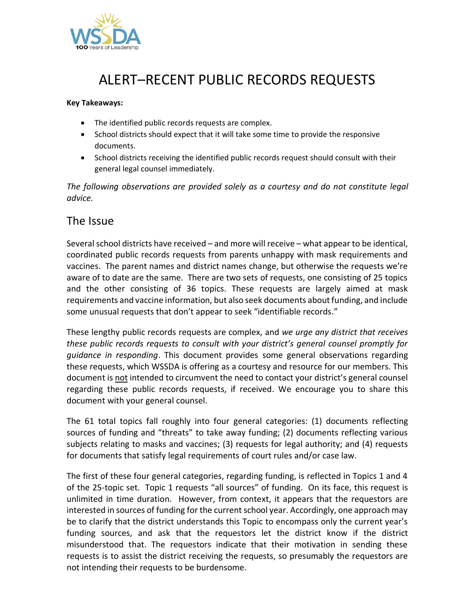

## ALERT–RECENT PUBLIC RECORDS REQUESTS

## **Key Takeaways:**

- The identified public records requests are complex.
- School districts should expect that it will take some time to provide the responsive documents.
- School districts receiving the identified public records request should consult with their general legal counsel immediately.

*The following observations are provided solely as a courtesy and do not constitute legal advice.*

## The Issue

Several school districts have received – and more will receive – what appear to be identical, coordinated public records requests from parents unhappy with mask requirements and vaccines. The parent names and district names change, but otherwise the requests we're aware of to date are the same. There are two sets of requests, one consisting of 25 topics and the other consisting of 36 topics. These requests are largely aimed at mask requirements and vaccine information, but also seek documents about funding, and include some unusual requests that don't appear to seek "identifiable records."

These lengthy public records requests are complex, and *we urge any district that receives these public records requests to consult with your district's general counsel promptly for guidance in responding*. This document provides some general observations regarding these requests, which WSSDA is offering as a courtesy and resource for our members. This document is not intended to circumvent the need to contact your district's general counsel regarding these public records requests, if received. We encourage you to share this document with your general counsel.

The 61 total topics fall roughly into four general categories: (1) documents reflecting sources of funding and "threats" to take away funding; (2) documents reflecting various subjects relating to masks and vaccines; (3) requests for legal authority; and (4) requests for documents that satisfy legal requirements of court rules and/or case law.

The first of these four general categories, regarding funding, is reflected in Topics 1 and 4 of the 25-topic set. Topic 1 requests "all sources" of funding. On its face, this request is unlimited in time duration. However, from context, it appears that the requestors are interested in sources of funding for the current school year. Accordingly, one approach may be to clarify that the district understands this Topic to encompass only the current year's funding sources, and ask that the requestors let the district know if the district misunderstood that. The requestors indicate that their motivation in sending these requests is to assist the district receiving the requests, so presumably the requestors are not intending their requests to be burdensome.